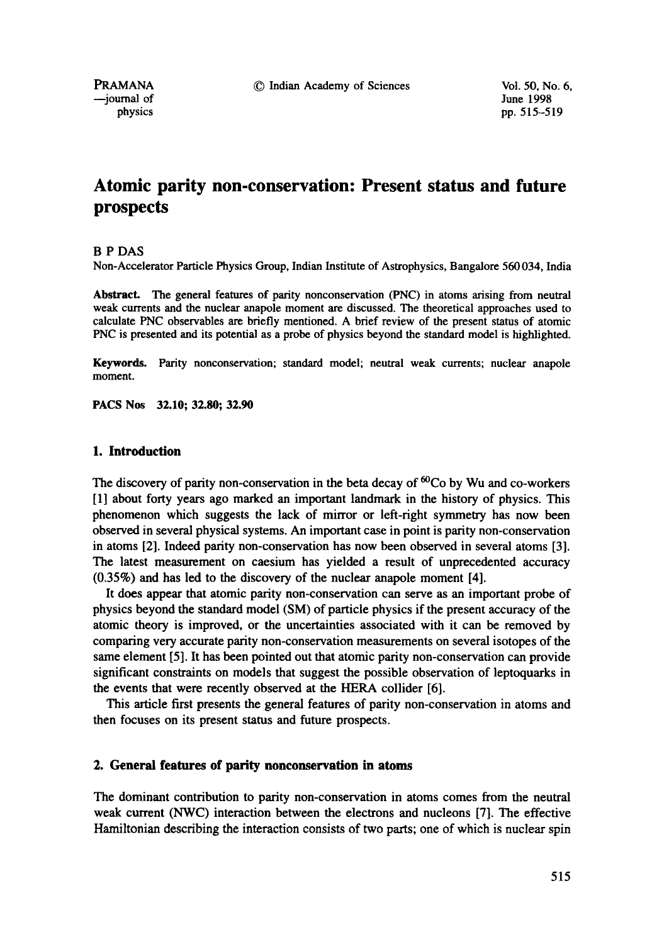---journal of June 1998

physics pp. 515–519

# **Atomic parity non-conservation: Present status and future prospects**

### B P DAS

Non-Accelerator Particle Physics Group, Indian Institute of Astrophysics, Bangalore 560 034, India

**Abstract.** The general features of parity nonconservation (PNC) in atoms arising from neutral weak currents and the nuclear anapole moment are discussed. The theoretical approaches used to calculate PNC observables are briefly mentioned. A brief review of the present status of atomic PNC is presented and its potential as a probe of physics beyond the standard model is highlighted.

**Keywords.** Parity nonconservation; standard model; neutral weak currents; nuclear anapole moment.

**PACS Nos 32.10; 32.80; 32.90** 

### **1. Introduction**

The discovery of parity non-conservation in the beta decay of  ${}^{60}Co$  by Wu and co-workers [1] about forty years ago marked an important landmark in the history of physics. This phenomenon which suggests the lack of mirror or left-right symmetry has now been observed in several physical systems. An important case in point is parity non-conservation in atoms [2]. Indeed parity non-conservation has now been observed in several atoms [3]. The latest measurement on caesium has yielded a result of unprecedented accuracy (0.35%) and has led to the discovery of the nuclear anapole moment [4].

It does appear that atomic parity non-conservation can serve as an important probe of physics beyond the standard model (SM) of particle physics if the present accuracy of the atomic theory is improved, or the uncertainties associated with it can be removed by comparing very accurate parity non-conservation measurements on several isotopes of the same element [5]. It has been pointed out that atomic parity non-conservation can provide significant constraints on models that suggest the possible observation of leptoquarks in the events that were recently observed at the HERA collider [6].

This article first presents the general features of parity non-conservation in atoms and then focuses on its present status and future prospects.

### **2. General features of parity nonconservation in atoms**

The dominant contribution to parity non-conservation in atoms comes from the neutral weak current (NWC) interaction between the electrons and nucleons [7]. The effective Hamiltonian describing the interaction consists of two parts; one of which is nuclear spin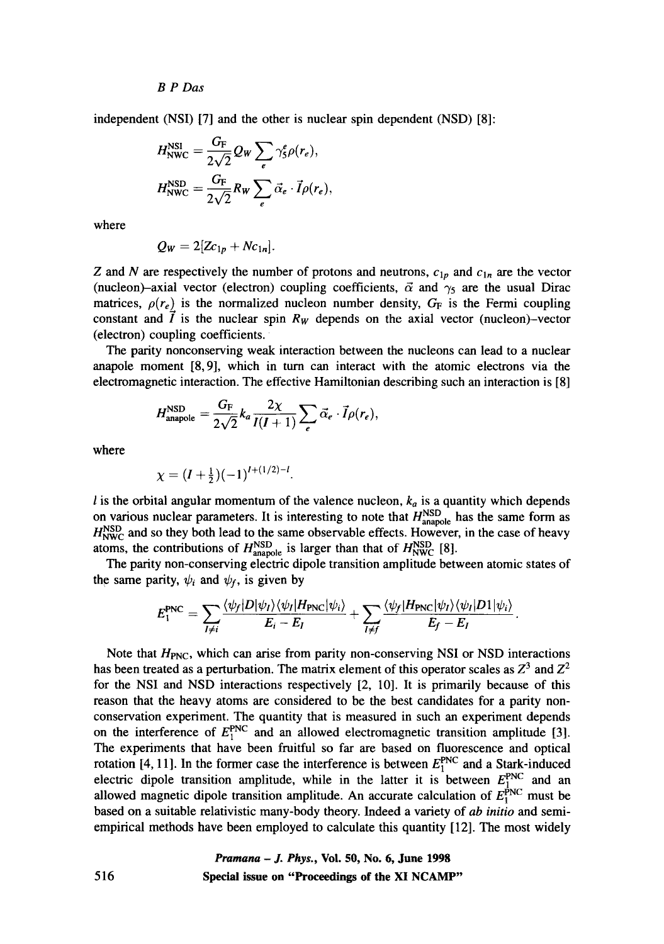*B P Das* 

independent (NSI) [7] and the other is nuclear spin dependent (NSD) **[8]:** 

$$
H_{\text{NWC}}^{\text{NSI}} = \frac{G_{\text{F}}}{2\sqrt{2}} Q_{\text{W}} \sum_{e} \gamma_{5}^{e} \rho(r_{e}),
$$
  

$$
H_{\text{NWC}}^{\text{NSD}} = \frac{G_{\text{F}}}{2\sqrt{2}} R_{\text{W}} \sum_{e} \vec{\alpha}_{e} \cdot \vec{I} \rho(r_{e}),
$$

where

$$
Q_W=2[Zc_{1p}+Nc_{1n}].
$$

Z and N are respectively the number of protons and neutrons,  $c_{1p}$  and  $c_{1n}$  are the vector (nucleon)-axial vector (electron) coupling coefficients,  $\vec{\alpha}$  and  $\gamma_5$  are the usual Dirac matrices,  $\rho(r_e)$  is the normalized nucleon number density,  $G_F$  is the Fermi coupling constant and  $\hat{I}$  is the nuclear spin  $R_W$  depends on the axial vector (nucleon)-vector (electron) coupling coefficients.

The parity nonconserving weak interaction between the nucleons can lead to a nuclear anapole moment [8,9], which in turn can interact with the atomic electrons via the electromagnetic interaction. The effective Hamiltonian describing such an interaction is [8]

$$
H_{\text{anapole}}^{\text{NSD}} = \frac{G_{\text{F}}}{2\sqrt{2}} k_a \frac{2\chi}{I(I+1)} \sum_e \vec{\alpha}_e \cdot \vec{I} \rho(r_e),
$$

where

$$
\chi = (I + \frac{1}{2})(-1)^{I + (1/2) - I}.
$$

l is the orbital angular momentum of the valence nucleon,  $k_a$  is a quantity which depends on various nuclear parameters. It is interesting to note that  $H_{\text{anapole}}^{\text{NSD}}$  has the same form as  $H_{\text{NWC}}^{\text{NSD}}$  and so they both lead to the same observable effects. However, in the case of heavy atoms, the contributions of  $H_{\text{anapole}}^{\text{NSD}}$  is larger than that of  $H_{\text{NWC}}^{\text{NSD}}$  [8].

The parity non-conserving electric dipole transition amplitude between atomic states of the same parity,  $\psi_i$  and  $\psi_f$ , is given by

$$
E_1^{\text{PNC}} = \sum_{I\neq i} \frac{\langle \psi_f | D |\psi_I \rangle \langle \psi_I | H_{\text{PNC}} | \psi_i \rangle}{E_i - E_I} + \sum_{I\neq f} \frac{\langle \psi_f | H_{\text{PNC}} | \psi_I \rangle \langle \psi_I | D1 | \psi_i \rangle}{E_f - E_I}.
$$

Note that  $H_{PNC}$ , which can arise from parity non-conserving NSI or NSD interactions has been treated as a perturbation. The matrix element of this operator scales as  $Z^3$  and  $Z^2$ for the NSI and NSD interactions respectively [2, 10]. It is primarily because of this reason that the heavy atoms are considered to be the best candidates for a parity nonconservation experiment. The quantity that is measured in such an experiment depends on the interference of  $E_1^{\text{PNC}}$  and an allowed electromagnetic transition amplitude [3]. The experiments that have been fruitful so far are based on fluorescence and optical rotation [4, 11]. In the former case the interference is between  $E_1^{PNC}$  and a Stark-induced electric dipole transition amplitude, while in the latter it is between  $E_1^{PNC}$  and an allowed magnetic dipole transition amplitude. An accurate calculation of  $E_1^{\text{PNC}}$  must be based on a suitable relativistic many-body theory. Indeed a variety of *ab initio* and semiempirical methods have been employed to calculate this quantity [12]. The most widely

## *Pramana - J. Phys.,* Vol. 50, No. 6, June 1998 Special **issue on "Proceedings of the** XI NCAMP"

516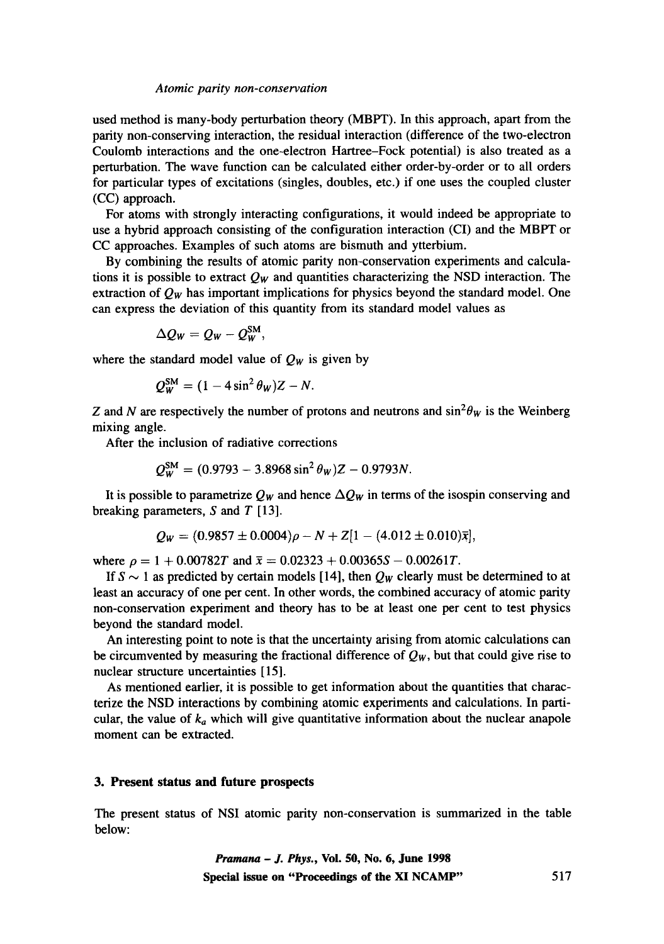### *Atomic parity non-conservation*

used method is many-body perturbation theory (MBPT). In this approach, apart from the parity non-conserving interaction, the residual interaction (difference of the two-electron Coulomb interactions and the one-electron Hartree-Fock potential) is also treated as a perturbation. The wave function can be calculated either order-by-order or to all orders for particular types of excitations (singles, doubles, etc.) if one uses the coupled cluster (CC) approach.

For atoms with strongly interacting configurations, it would indeed be appropriate to use a hybrid approach consisting of the configuration interaction (CI) and the MBPT or CC approaches. Examples of such atoms are bismuth and ytterbium.

By combining the results of atomic parity non-conservation experiments and calculations it is possible to extract  $Q_W$  and quantities characterizing the NSD interaction. The extraction of  $Q_W$  has important implications for physics beyond the standard model. One can express the deviation of this quantity from its standard model values as

$$
\Delta Q_W = Q_W - Q_W^{\rm SM},
$$

where the standard model value of  $Q_W$  is given by

$$
Q_W^{\rm SM} = (1 - 4\sin^2\theta_W)Z - N.
$$

Z and N are respectively the number of protons and neutrons and  $\sin^2\theta_W$  is the Weinberg mixing angle.

After the inclusion of radiative corrections

$$
Q_{\rm w}^{\rm SM} = (0.9793 - 3.8968 \sin^2 \theta_{\rm w})Z - 0.9793N.
$$

It is possible to parametrize  $Q_W$  and hence  $\Delta Q_W$  in terms of the isospin conserving and breaking parameters,  $S$  and  $T$  [13].

$$
Q_W = (0.9857 \pm 0.0004)\rho - N + Z[1 - (4.012 \pm 0.010)\bar{x}],
$$

where  $\rho = 1 + 0.00782T$  and  $\bar{x} = 0.02323 + 0.00365S - 0.00261T$ .

If  $S \sim 1$  as predicted by certain models [14], then  $Q_W$  clearly must be determined to at least an accuracy of one per cent. In other words, the combined accuracy of atomic parity non-conservation experiment and theory has to be at least one per cent to test physics beyond the standard model.

An interesting point to note is that the uncertainty arising from atomic calculations can be circumvented by measuring the fractional difference of  $Q_W$ , but that could give rise to nuclear structure uncertainties [15].

As mentioned earlier, it is possible to get information about the quantities that characterize the NSD interactions by combining atomic experiments and calculations. In particular, the value of  $k_a$  which will give quantitative information about the nuclear anapole moment can be extracted.

### **3. Present status and future prospects**

The present status of NSI atomic parity non-conservation is summarized in the table below:

> *Pranmna - J. Phys.,* **Vol. 50, No. 6, June 1998 Special issue on "Proceedings of the XI NCAMP" 517**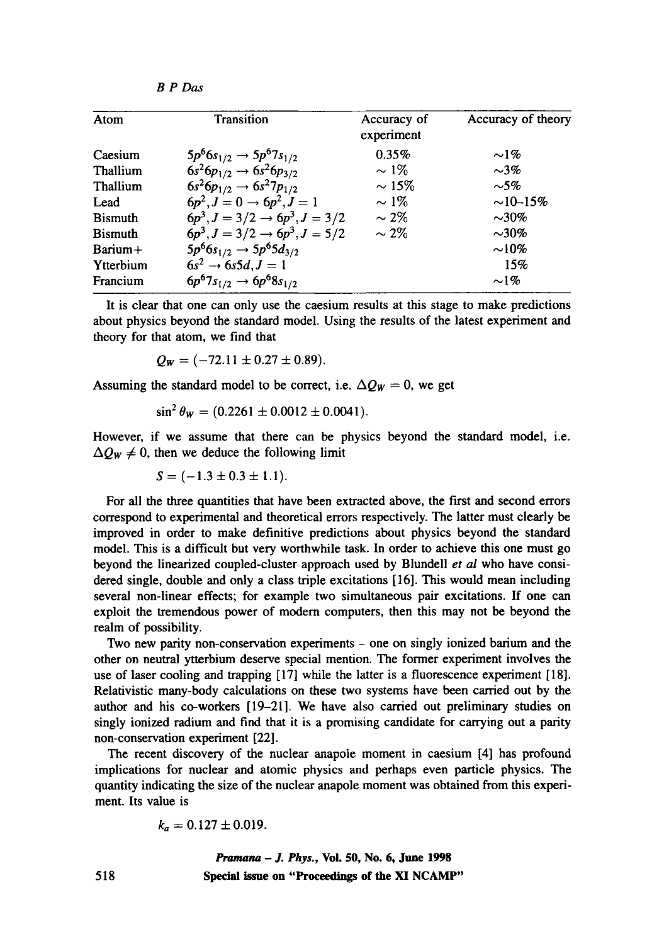|  | n<br>٠ |
|--|--------|
|--|--------|

| Atom           | Transition                                      | Accuracy of<br>experiment | Accuracy of theory |
|----------------|-------------------------------------------------|---------------------------|--------------------|
| Caesium        | $5p^66s_{1/2} \rightarrow 5p^67s_{1/2}$         | 0.35%                     | $\sim$ 1%          |
| Thallium       | $6s^26p_{1/2} \rightarrow 6s^26p_{3/2}$         | $\sim 1\%$                | $\sim$ 3%          |
| Thallium       | $6s^26p_{1/2} \rightarrow 6s^27p_{1/2}$         | $\sim$ 15%                | $\sim$ 5%          |
| Lead           | $6p^2, J = 0 \rightarrow 6p^2, J = 1$           | $\sim 1\%$                | $\sim$ 10–15%      |
| <b>Bismuth</b> | $6p^3, J = 3/2 \rightarrow 6p^3, J = 3/2$       | $\sim$ 2%                 | $\sim$ 30%         |
| <b>Bismuth</b> | $6p^3$ , $J = 3/2 \rightarrow 6p^3$ , $J = 5/2$ | $\sim 2\%$                | $\sim$ 30%         |
| $Barium+$      | $5p^66s_{1/2} \rightarrow 5p^65d_{3/2}$         |                           | $\sim$ 10%         |
| Ytterbium      | $6s^2 \rightarrow 6s5d, J = 1$                  |                           | 15%                |
| Francium       | $6p^67s_{1/2} \rightarrow 6p^68s_{1/2}$         |                           | $\sim$ 1%          |

It is clear that one can only use the caesium results at this stage to make predictions about physics beyond the standard model. Using the results of the latest experiment and theory for that atom, we find that

$$
Q_W = (-72.11 \pm 0.27 \pm 0.89).
$$

Assuming the standard model to be correct, i.e.  $\Delta Q_W = 0$ , we get

$$
\sin^2 \theta_W = (0.2261 \pm 0.0012 \pm 0.0041).
$$

However, if we assume that there can be physics beyond the standard model, i.e.  $\Delta Q_W \neq 0$ , then we deduce the following limit

$$
S = (-1.3 \pm 0.3 \pm 1.1).
$$

For all the three quantities that have been extracted above, the first and second errors correspond to experimental and theoretical errors respectively. The latter must clearly be improved in order to make definitive predictions about physics beyond the standard model. This is a difficult but very worthwhile task. In order to achieve this one must go beyond the linearized coupled-cluster approach used by Blundell *et al* who have considered single, double and only a class triple excitations [16]. This would mean including several non-linear effects; for example two simultaneous pair excitations. If one can exploit the tremendous power of modern computers, then this may not be beyond the realm of possibility.

Two new parity non-conservation experiments - one on singly ionized barium and the other on neutral ytterbium deserve special mention. The former experiment involves the use of laser cooling and trapping [17] while the latter is a fluorescence experiment [18]. Relativistic many-body calculations on these two systems have been carried out by the author and his co-workers [19-21]. We have also carried out preliminary studies on singly ionized radium and find that it is a promising candidate for carrying out a parity non-conservation experiment [22].

The recent discovery of the nuclear anapole moment in caesium [4] has profound implications for nuclear and atomic physics and perhaps even particle physics. The quantity indicating the size of the nuclear anapole moment was obtained from this experiment. Its value is

$$
k_a = 0.127 \pm 0.019.
$$

*Pramana - J. Phys.,* **Vol. 50, No. 6, June 1998**  Special issue on "Proceedings of the XI NCAMP"

518